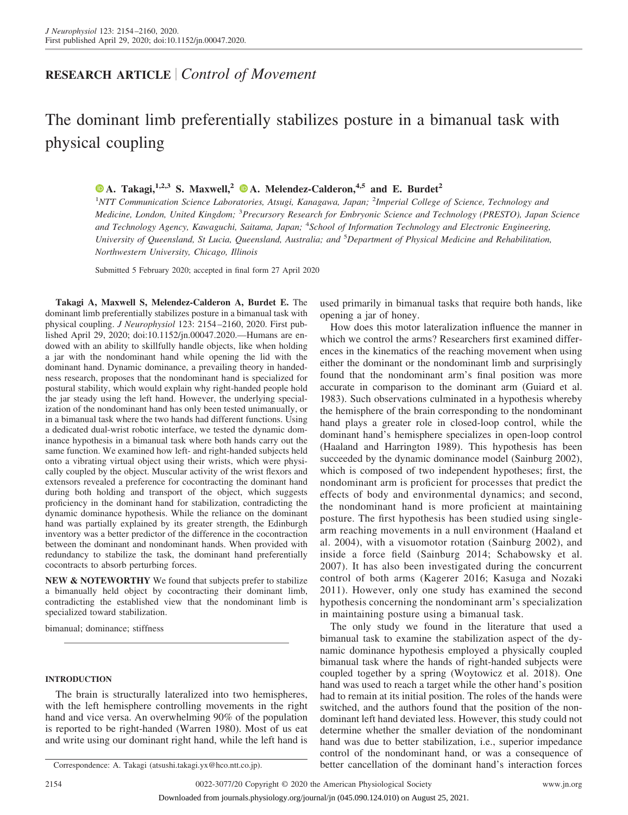## **RESEARCH ARTICLE** *Control of Movement*

# The dominant limb preferentially stabilizes posture in a bimanual task with physical coupling

**X [A. Takagi,](https://orcid.org/0000-0003-4733-7471)1,2,3 S. Maxwell,<sup>2</sup> X [A. Melendez-Calderon,](https://orcid.org/0000-0002-7922-1345)4,5 and E. Burdet<sup>2</sup>**

1 *NTT Communication Science Laboratories, Atsugi, Kanagawa, Japan;* <sup>2</sup> *Imperial College of Science, Technology and Medicine, London, United Kingdom;* <sup>3</sup> *Precursory Research for Embryonic Science and Technology (PRESTO), Japan Science and Technology Agency, Kawaguchi, Saitama, Japan;* <sup>4</sup> *School of Information Technology and Electronic Engineering, University of Queensland, St Lucia, Queensland, Australia; and* <sup>5</sup> *Department of Physical Medicine and Rehabilitation, Northwestern University, Chicago, Illinois*

Submitted 5 February 2020; accepted in final form 27 April 2020

**Takagi A, Maxwell S, Melendez-Calderon A, Burdet E.** The dominant limb preferentially stabilizes posture in a bimanual task with physical coupling. *J Neurophysiol* 123: 2154 –2160, 2020. First published April 29, 2020; doi[:10.1152/jn.00047.2020.](http://doi.org/10.1152/jn.00047.2020)—Humans are endowed with an ability to skillfully handle objects, like when holding a jar with the nondominant hand while opening the lid with the dominant hand. Dynamic dominance, a prevailing theory in handedness research, proposes that the nondominant hand is specialized for postural stability, which would explain why right-handed people hold the jar steady using the left hand. However, the underlying specialization of the nondominant hand has only been tested unimanually, or in a bimanual task where the two hands had different functions. Using a dedicated dual-wrist robotic interface, we tested the dynamic dominance hypothesis in a bimanual task where both hands carry out the same function. We examined how left- and right-handed subjects held onto a vibrating virtual object using their wrists, which were physically coupled by the object. Muscular activity of the wrist flexors and extensors revealed a preference for cocontracting the dominant hand during both holding and transport of the object, which suggests proficiency in the dominant hand for stabilization, contradicting the dynamic dominance hypothesis. While the reliance on the dominant hand was partially explained by its greater strength, the Edinburgh inventory was a better predictor of the difference in the cocontraction between the dominant and nondominant hands. When provided with redundancy to stabilize the task, the dominant hand preferentially cocontracts to absorb perturbing forces.

**NEW & NOTEWORTHY** We found that subjects prefer to stabilize a bimanually held object by cocontracting their dominant limb, contradicting the established view that the nondominant limb is specialized toward stabilization.

bimanual; dominance; stiffness

### **INTRODUCTION**

The brain is structurally lateralized into two hemispheres, with the left hemisphere controlling movements in the right hand and vice versa. An overwhelming 90% of the population is reported to be right-handed (Warren 1980). Most of us eat and write using our dominant right hand, while the left hand is

used primarily in bimanual tasks that require both hands, like opening a jar of honey.

How does this motor lateralization influence the manner in which we control the arms? Researchers first examined differences in the kinematics of the reaching movement when using either the dominant or the nondominant limb and surprisingly found that the nondominant arm's final position was more accurate in comparison to the dominant arm (Guiard et al. 1983). Such observations culminated in a hypothesis whereby the hemisphere of the brain corresponding to the nondominant hand plays a greater role in closed-loop control, while the dominant hand's hemisphere specializes in open-loop control (Haaland and Harrington 1989). This hypothesis has been succeeded by the dynamic dominance model (Sainburg 2002), which is composed of two independent hypotheses; first, the nondominant arm is proficient for processes that predict the effects of body and environmental dynamics; and second, the nondominant hand is more proficient at maintaining posture. The first hypothesis has been studied using singlearm reaching movements in a null environment (Haaland et al. 2004), with a visuomotor rotation (Sainburg 2002), and inside a force field (Sainburg 2014; Schabowsky et al. 2007). It has also been investigated during the concurrent control of both arms (Kagerer 2016; Kasuga and Nozaki 2011). However, only one study has examined the second hypothesis concerning the nondominant arm's specialization in maintaining posture using a bimanual task.

The only study we found in the literature that used a bimanual task to examine the stabilization aspect of the dynamic dominance hypothesis employed a physically coupled bimanual task where the hands of right-handed subjects were coupled together by a spring (Woytowicz et al. 2018). One hand was used to reach a target while the other hand's position had to remain at its initial position. The roles of the hands were switched, and the authors found that the position of the nondominant left hand deviated less. However, this study could not determine whether the smaller deviation of the nondominant hand was due to better stabilization, i.e., superior impedance control of the nondominant hand, or was a consequence of Correspondence: A. Takagi [\(atsushi.takagi.yx@hco.ntt.co.jp\)](mailto:atsushi.takagi.yx@hco.ntt.co.jp). better cancellation of the dominant hand's interaction forces

2154 0022-3077/20 Copyright © 2020 the American Physiological Society www.jn.org

Downloaded from journals.physiology.org/journal/jn (045.090.124.010) on August 25, 2021.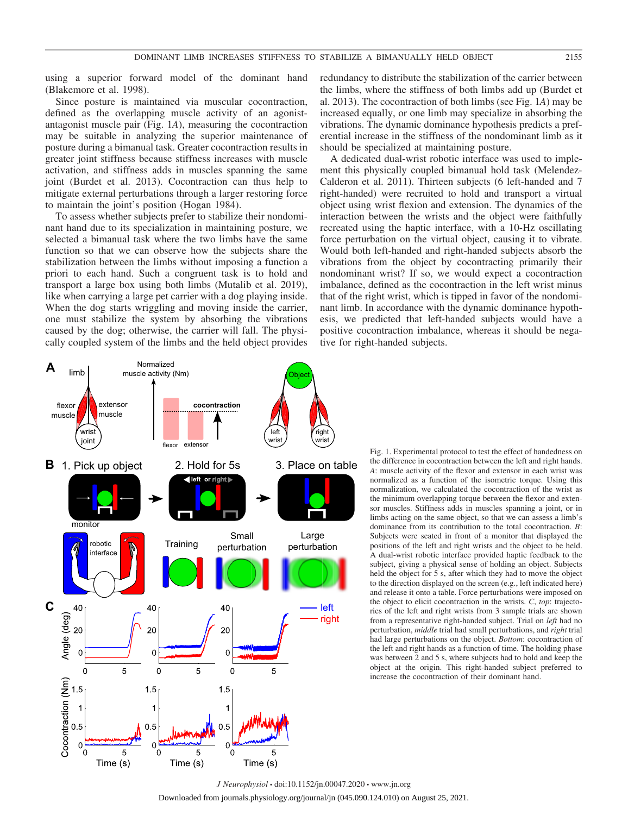using a superior forward model of the dominant hand (Blakemore et al. 1998).

Since posture is maintained via muscular cocontraction, defined as the overlapping muscle activity of an agonistantagonist muscle pair (Fig. 1*A*), measuring the cocontraction may be suitable in analyzing the superior maintenance of posture during a bimanual task. Greater cocontraction results in greater joint stiffness because stiffness increases with muscle activation, and stiffness adds in muscles spanning the same joint (Burdet et al. 2013). Cocontraction can thus help to mitigate external perturbations through a larger restoring force to maintain the joint's position (Hogan 1984).

To assess whether subjects prefer to stabilize their nondominant hand due to its specialization in maintaining posture, we selected a bimanual task where the two limbs have the same function so that we can observe how the subjects share the stabilization between the limbs without imposing a function a priori to each hand. Such a congruent task is to hold and transport a large box using both limbs (Mutalib et al. 2019), like when carrying a large pet carrier with a dog playing inside. When the dog starts wriggling and moving inside the carrier, one must stabilize the system by absorbing the vibrations caused by the dog; otherwise, the carrier will fall. The physically coupled system of the limbs and the held object provides

redundancy to distribute the stabilization of the carrier between the limbs, where the stiffness of both limbs add up (Burdet et al. 2013). The cocontraction of both limbs (see Fig. 1*A*) may be increased equally, or one limb may specialize in absorbing the vibrations. The dynamic dominance hypothesis predicts a preferential increase in the stiffness of the nondominant limb as it should be specialized at maintaining posture.

A dedicated dual-wrist robotic interface was used to implement this physically coupled bimanual hold task (Melendez-Calderon et al. 2011). Thirteen subjects (6 left-handed and 7 right-handed) were recruited to hold and transport a virtual object using wrist flexion and extension. The dynamics of the interaction between the wrists and the object were faithfully recreated using the haptic interface, with a 10-Hz oscillating force perturbation on the virtual object, causing it to vibrate. Would both left-handed and right-handed subjects absorb the vibrations from the object by cocontracting primarily their nondominant wrist? If so, we would expect a cocontraction imbalance, defined as the cocontraction in the left wrist minus that of the right wrist, which is tipped in favor of the nondominant limb. In accordance with the dynamic dominance hypothesis, we predicted that left-handed subjects would have a positive cocontraction imbalance, whereas it should be negative for right-handed subjects.



Fig. 1. Experimental protocol to test the effect of handedness on the difference in cocontraction between the left and right hands. *A*: muscle activity of the flexor and extensor in each wrist was normalized as a function of the isometric torque. Using this normalization, we calculated the cocontraction of the wrist as the minimum overlapping torque between the flexor and extensor muscles. Stiffness adds in muscles spanning a joint, or in limbs acting on the same object, so that we can assess a limb's dominance from its contribution to the total cocontraction. *B*: Subjects were seated in front of a monitor that displayed the positions of the left and right wrists and the object to be held. A dual-wrist robotic interface provided haptic feedback to the subject, giving a physical sense of holding an object. Subjects held the object for 5 s, after which they had to move the object to the direction displayed on the screen (e.g., left indicated here) and release it onto a table. Force perturbations were imposed on the object to elicit cocontraction in the wrists. *C*, *top*: trajectories of the left and right wrists from 3 sample trials are shown from a representative right-handed subject. Trial on *left* had no perturbation, *middle* trial had small perturbations, and *right* trial had large perturbations on the object. *Bottom*: cocontraction of the left and right hands as a function of time. The holding phase was between 2 and 5 s, where subjects had to hold and keep the object at the origin. This right-handed subject preferred to increase the cocontraction of their dominant hand.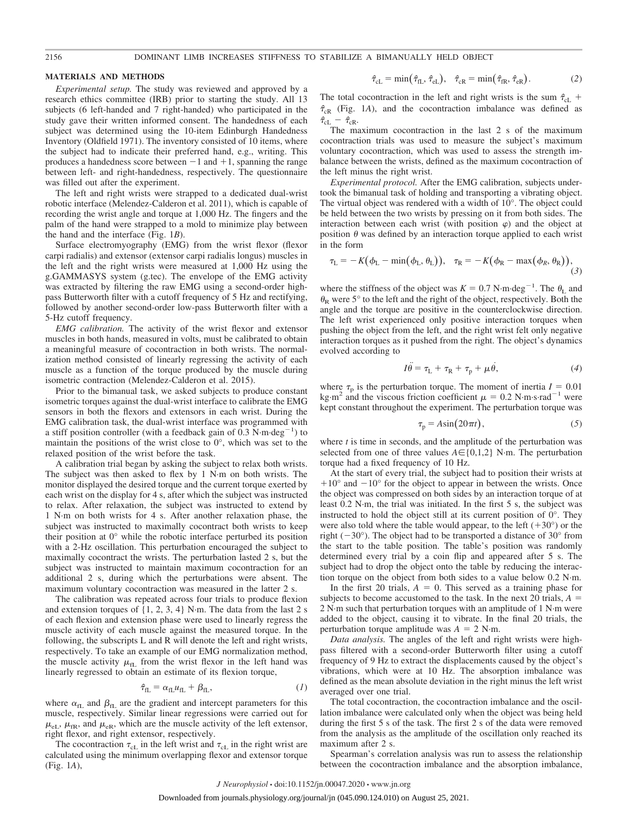#### **MATERIALS AND METHODS**

*Experimental setup.* The study was reviewed and approved by a research ethics committee (IRB) prior to starting the study. All 13 subjects (6 left-handed and 7 right-handed) who participated in the study gave their written informed consent. The handedness of each subject was determined using the 10-item Edinburgh Handedness Inventory (Oldfield 1971). The inventory consisted of 10 items, where the subject had to indicate their preferred hand, e.g., writing. This produces a handedness score between  $-1$  and  $+1$ , spanning the range between left- and right-handedness, respectively. The questionnaire was filled out after the experiment.

The left and right wrists were strapped to a dedicated dual-wrist robotic interface (Melendez-Calderon et al. 2011), which is capable of recording the wrist angle and torque at 1,000 Hz. The fingers and the palm of the hand were strapped to a mold to minimize play between the hand and the interface (Fig. 1*B*).

Surface electromyography (EMG) from the wrist flexor (flexor carpi radialis) and extensor (extensor carpi radialis longus) muscles in the left and the right wrists were measured at 1,000 Hz using the g.GAMMASYS system (g.tec). The envelope of the EMG activity was extracted by filtering the raw EMG using a second-order highpass Butterworth filter with a cutoff frequency of 5 Hz and rectifying, followed by another second-order low-pass Butterworth filter with a 5-Hz cutoff frequency.

*EMG calibration.* The activity of the wrist flexor and extensor muscles in both hands, measured in volts, must be calibrated to obtain a meaningful measure of cocontraction in both wrists. The normalization method consisted of linearly regressing the activity of each muscle as a function of the torque produced by the muscle during isometric contraction (Melendez-Calderon et al. 2015).

Prior to the bimanual task, we asked subjects to produce constant isometric torques against the dual-wrist interface to calibrate the EMG sensors in both the flexors and extensors in each wrist. During the EMG calibration task, the dual-wrist interface was programmed with a stiff position controller (with a feedback gain of  $0.3 \text{ N} \cdot \text{m} \cdot \text{deg}^{-1}$ ) to maintain the positions of the wrist close to  $0^{\circ}$ , which was set to the relaxed position of the wrist before the task.

A calibration trial began by asking the subject to relax both wrists. The subject was then asked to flex by 1 N·m on both wrists. The monitor displayed the desired torque and the current torque exerted by each wrist on the display for 4 s, after which the subject was instructed to relax. After relaxation, the subject was instructed to extend by 1 N·m on both wrists for 4 s. After another relaxation phase, the subject was instructed to maximally cocontract both wrists to keep their position at 0° while the robotic interface perturbed its position with a 2-Hz oscillation. This perturbation encouraged the subject to maximally cocontract the wrists. The perturbation lasted 2 s, but the subject was instructed to maintain maximum cocontraction for an additional 2 s, during which the perturbations were absent. The maximum voluntary cocontraction was measured in the latter 2 s.

The calibration was repeated across four trials to produce flexion and extension torques of {1, 2, 3, 4} N·m. The data from the last 2 s of each flexion and extension phase were used to linearly regress the muscle activity of each muscle against the measured torque. In the following, the subscripts L and R will denote the left and right wrists, respectively. To take an example of our EMG normalization method, the muscle activity  $\mu_{fL}$  from the wrist flexor in the left hand was linearly regressed to obtain an estimate of its flexion torque,

$$
\hat{\tau}_{\text{fL}} = \alpha_{\text{fL}} u_{\text{fL}} + \beta_{\text{fL}},\tag{1}
$$

where  $\alpha_{fL}$  and  $\beta_{fL}$  are the gradient and intercept parameters for this muscle, respectively. Similar linear regressions were carried out for  $\mu_{eL}$ ,  $\mu_{fR}$ , and  $\mu_{eR}$ , which are the muscle activity of the left extensor, right flexor, and right extensor, respectively.

The cocontraction  $\tau_{cL}$  in the left wrist and  $\tau_{cL}$  in the right wrist are calculated using the minimum overlapping flexor and extensor torque (Fig. 1*A*),

$$
\hat{\tau}_{\text{cL}} = \min(\hat{\tau}_{\text{fL}}, \hat{\tau}_{\text{eL}}), \quad \hat{\tau}_{\text{cR}} = \min(\hat{\tau}_{\text{fR}}, \hat{\tau}_{\text{eR}}).
$$
 (2)

The total cocontraction in the left and right wrists is the sum  $\hat{\tau}_{cL}$  + *ˆ*cR (Fig. 1*A*), and the cocontraction imbalance was defined as  $\hat{\tau}_{cL}$  –  $\hat{\tau}_{cR}$ .

The maximum cocontraction in the last 2 s of the maximum cocontraction trials was used to measure the subject's maximum voluntary cocontraction, which was used to assess the strength imbalance between the wrists, defined as the maximum cocontraction of the left minus the right wrist.

*Experimental protocol.* After the EMG calibration, subjects undertook the bimanual task of holding and transporting a vibrating object. The virtual object was rendered with a width of 10°. The object could be held between the two wrists by pressing on it from both sides. The interaction between each wrist (with position  $\varphi$ ) and the object at position  $\theta$  was defined by an interaction torque applied to each wrist in the form

$$
\tau_{\rm L} = -K(\phi_{\rm L} - \min(\phi_{\rm L}, \theta_{\rm L})), \quad \tau_{\rm R} = -K(\phi_{\rm R} - \max(\phi_{\rm R}, \theta_{\rm R})),
$$
\n(3)

where the stiffness of the object was  $K = 0.7$  N·m·deg<sup>-1</sup>. The  $\theta_L$  and  $\theta_R$  were 5° to the left and the right of the object, respectively. Both the angle and the torque are positive in the counterclockwise direction. The left wrist experienced only positive interaction torques when pushing the object from the left, and the right wrist felt only negative interaction torques as it pushed from the right. The object's dynamics evolved according to

$$
I\ddot{\theta} = \tau_{\rm L} + \tau_{\rm R} + \tau_{\rm p} + \mu \dot{\theta}, \qquad (4)
$$

where  $\tau_p$  is the perturbation torque. The moment of inertia  $I = 0.01$ kg·m<sup>2</sup> and the viscous friction coefficient  $\mu = 0.2 \text{ N} \cdot \text{m} \cdot \text{s} \cdot \text{rad}^{-1}$  were kept constant throughout the experiment. The perturbation torque was

$$
\tau_{\rm p} = A \sin(20\pi t),\tag{5}
$$

where *t* is time in seconds, and the amplitude of the perturbation was selected from one of three values  $A \in \{0,1,2\}$  N·m. The perturbation torque had a fixed frequency of 10 Hz.

At the start of every trial, the subject had to position their wrists at  $+10^{\circ}$  and  $-10^{\circ}$  for the object to appear in between the wrists. Once the object was compressed on both sides by an interaction torque of at least 0.2 N·m, the trial was initiated. In the first 5 s, the subject was instructed to hold the object still at its current position of  $0^\circ$ . They were also told where the table would appear, to the left  $(+30^{\circ})$  or the right  $(-30^{\circ})$ . The object had to be transported a distance of 30 $^{\circ}$  from the start to the table position. The table's position was randomly determined every trial by a coin flip and appeared after 5 s. The subject had to drop the object onto the table by reducing the interaction torque on the object from both sides to a value below 0.2 N·m.

In the first 20 trials,  $A = 0$ . This served as a training phase for subjects to become accustomed to the task. In the next 20 trials,  $A =$ 2 N·m such that perturbation torques with an amplitude of 1 N·m were added to the object, causing it to vibrate. In the final 20 trials, the perturbation torque amplitude was  $A = 2$  N·m.

*Data analysis.* The angles of the left and right wrists were highpass filtered with a second-order Butterworth filter using a cutoff frequency of 9 Hz to extract the displacements caused by the object's vibrations, which were at 10 Hz. The absorption imbalance was defined as the mean absolute deviation in the right minus the left wrist averaged over one trial.

The total cocontraction, the cocontraction imbalance and the oscillation imbalance were calculated only when the object was being held during the first 5 s of the task. The first 2 s of the data were removed from the analysis as the amplitude of the oscillation only reached its maximum after 2 s.

Spearman's correlation analysis was run to assess the relationship between the cocontraction imbalance and the absorption imbalance,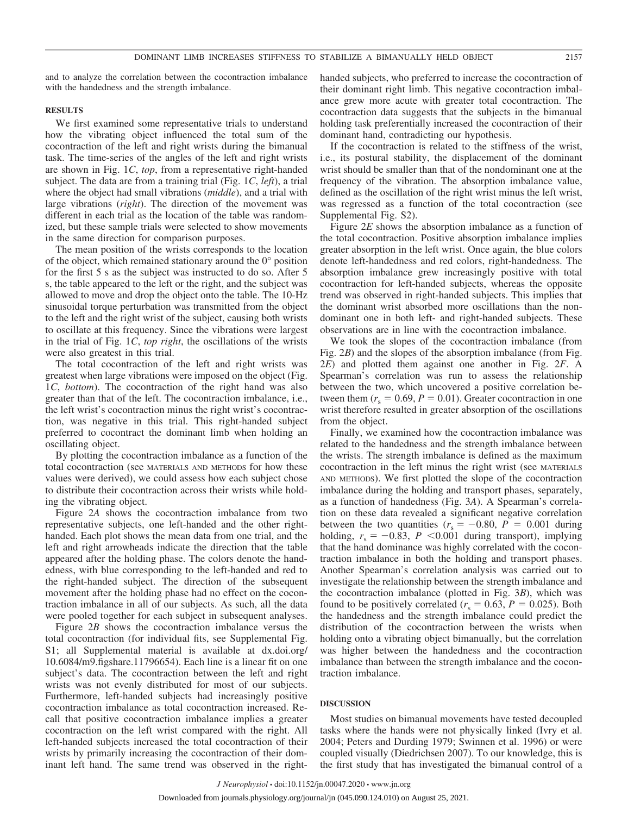and to analyze the correlation between the cocontraction imbalance with the handedness and the strength imbalance.

#### **RESULTS**

We first examined some representative trials to understand how the vibrating object influenced the total sum of the cocontraction of the left and right wrists during the bimanual task. The time-series of the angles of the left and right wrists are shown in Fig. 1*C*, *top*, from a representative right-handed subject. The data are from a training trial (Fig. 1*C*, *left*), a trial where the object had small vibrations (*middle*), and a trial with large vibrations (*right*). The direction of the movement was different in each trial as the location of the table was randomized, but these sample trials were selected to show movements in the same direction for comparison purposes.

The mean position of the wrists corresponds to the location of the object, which remained stationary around the 0° position for the first 5 s as the subject was instructed to do so. After 5 s, the table appeared to the left or the right, and the subject was allowed to move and drop the object onto the table. The 10-Hz sinusoidal torque perturbation was transmitted from the object to the left and the right wrist of the subject, causing both wrists to oscillate at this frequency. Since the vibrations were largest in the trial of Fig. 1*C*, *top right*, the oscillations of the wrists were also greatest in this trial.

The total cocontraction of the left and right wrists was greatest when large vibrations were imposed on the object (Fig. 1*C*, *bottom*). The cocontraction of the right hand was also greater than that of the left. The cocontraction imbalance, i.e., the left wrist's cocontraction minus the right wrist's cocontraction, was negative in this trial. This right-handed subject preferred to cocontract the dominant limb when holding an oscillating object.

By plotting the cocontraction imbalance as a function of the total cocontraction (see MATERIALS AND METHODS for how these values were derived), we could assess how each subject chose to distribute their cocontraction across their wrists while holding the vibrating object.

Figure 2*A* shows the cocontraction imbalance from two representative subjects, one left-handed and the other righthanded. Each plot shows the mean data from one trial, and the left and right arrowheads indicate the direction that the table appeared after the holding phase. The colors denote the handedness, with blue corresponding to the left-handed and red to the right-handed subject. The direction of the subsequent movement after the holding phase had no effect on the cocontraction imbalance in all of our subjects. As such, all the data were pooled together for each subject in subsequent analyses.

Figure 2*B* shows the cocontraction imbalance versus the total cocontraction (for individual fits, see Supplemental Fig. S1; all Supplemental material is available at [dx.doi.org/](http://dx.doi.org/10.6084/m9.figshare.11796654) [10.6084/m9.figshare.11796654\)](http://dx.doi.org/10.6084/m9.figshare.11796654). Each line is a linear fit on one subject's data. The cocontraction between the left and right wrists was not evenly distributed for most of our subjects. Furthermore, left-handed subjects had increasingly positive cocontraction imbalance as total cocontraction increased. Recall that positive cocontraction imbalance implies a greater cocontraction on the left wrist compared with the right. All left-handed subjects increased the total cocontraction of their wrists by primarily increasing the cocontraction of their dominant left hand. The same trend was observed in the righthanded subjects, who preferred to increase the cocontraction of their dominant right limb. This negative cocontraction imbalance grew more acute with greater total cocontraction. The cocontraction data suggests that the subjects in the bimanual holding task preferentially increased the cocontraction of their dominant hand, contradicting our hypothesis.

If the cocontraction is related to the stiffness of the wrist, i.e., its postural stability, the displacement of the dominant wrist should be smaller than that of the nondominant one at the frequency of the vibration. The absorption imbalance value, defined as the oscillation of the right wrist minus the left wrist, was regressed as a function of the total cocontraction (see Supplemental Fig. S2).

Figure 2*E* shows the absorption imbalance as a function of the total cocontraction. Positive absorption imbalance implies greater absorption in the left wrist. Once again, the blue colors denote left-handedness and red colors, right-handedness. The absorption imbalance grew increasingly positive with total cocontraction for left-handed subjects, whereas the opposite trend was observed in right-handed subjects. This implies that the dominant wrist absorbed more oscillations than the nondominant one in both left- and right-handed subjects. These observations are in line with the cocontraction imbalance.

We took the slopes of the cocontraction imbalance (from Fig. 2*B*) and the slopes of the absorption imbalance (from Fig. 2*E*) and plotted them against one another in Fig. 2*F*. A Spearman's correlation was run to assess the relationship between the two, which uncovered a positive correlation between them  $(r_s = 0.69, P = 0.01)$ . Greater cocontraction in one wrist therefore resulted in greater absorption of the oscillations from the object.

Finally, we examined how the cocontraction imbalance was related to the handedness and the strength imbalance between the wrists. The strength imbalance is defined as the maximum cocontraction in the left minus the right wrist (see MATERIALS AND METHODS). We first plotted the slope of the cocontraction imbalance during the holding and transport phases, separately, as a function of handedness (Fig. 3*A*). A Spearman's correlation on these data revealed a significant negative correlation between the two quantities  $(r_s = -0.80, P = 0.001$  during holding,  $r_s = -0.83$ ,  $P \le 0.001$  during transport), implying that the hand dominance was highly correlated with the cocontraction imbalance in both the holding and transport phases. Another Spearman's correlation analysis was carried out to investigate the relationship between the strength imbalance and the cocontraction imbalance (plotted in Fig. 3*B*), which was found to be positively correlated ( $r<sub>s</sub> = 0.63$ ,  $P = 0.025$ ). Both the handedness and the strength imbalance could predict the distribution of the cocontraction between the wrists when holding onto a vibrating object bimanually, but the correlation was higher between the handedness and the cocontraction imbalance than between the strength imbalance and the cocontraction imbalance.

#### **DISCUSSION**

Most studies on bimanual movements have tested decoupled tasks where the hands were not physically linked (Ivry et al. 2004; Peters and Durding 1979; Swinnen et al. 1996) or were coupled visually (Diedrichsen 2007). To our knowledge, this is the first study that has investigated the bimanual control of a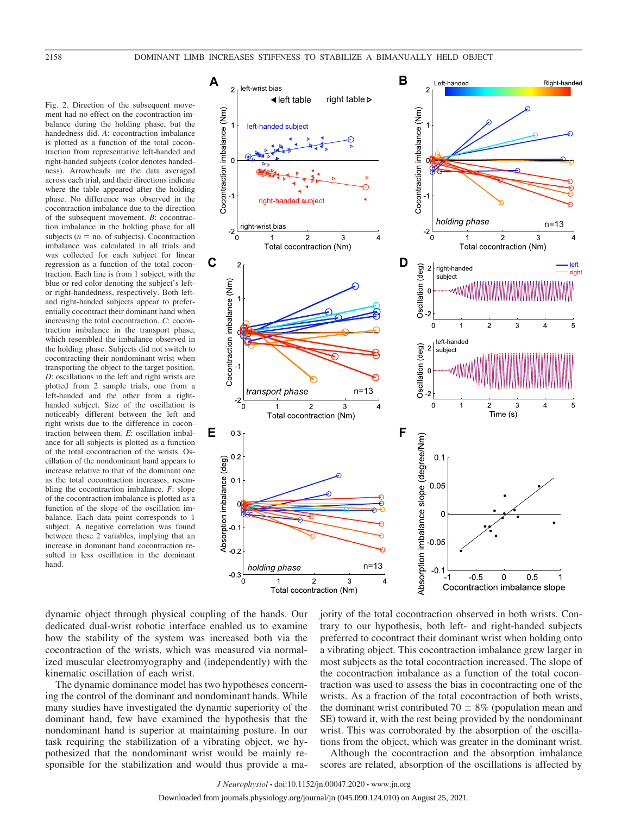Fig. 2. Direction of the subsequent movement had no effect on the cocontraction imbalance during the holding phase, but the handedness did. *A*: cocontraction imbalance is plotted as a function of the total cocontraction from representative left-handed and right-handed subjects (color denotes handedness). Arrowheads are the data averaged across each trial, and their directions indicate where the table appeared after the holding phase. No difference was observed in the cocontraction imbalance due to the direction of the subsequent movement. *B*: cocontraction imbalance in the holding phase for all subjects ( $n =$  no. of subjects). Cocontraction imbalance was calculated in all trials and was collected for each subject for linear regression as a function of the total cocontraction. Each line is from 1 subject, with the blue or red color denoting the subject's leftor right-handedness, respectively. Both leftand right-handed subjects appear to preferentially cocontract their dominant hand when increasing the total cocontraction. *C*: cocontraction imbalance in the transport phase, which resembled the imbalance observed in the holding phase. Subjects did not switch to cocontracting their nondominant wrist when transporting the object to the target position. *D*: oscillations in the left and right wrists are plotted from 2 sample trials, one from a left-handed and the other from a righthanded subject. Size of the oscillation is noticeably different between the left and right wrists due to the difference in cocontraction between them. *E*: oscillation imbalance for all subjects is plotted as a function of the total cocontraction of the wrists. Oscillation of the nondominant hand appears to increase relative to that of the dominant one as the total cocontraction increases, resembling the cocontraction imbalance. *F*: slope of the cocontraction imbalance is plotted as a function of the slope of the oscillation imbalance. Each data point corresponds to 1 subject. A negative correlation was found between these 2 variables, implying that an increase in dominant hand cocontraction resulted in less oscillation in the dominant hand.



dynamic object through physical coupling of the hands. Our dedicated dual-wrist robotic interface enabled us to examine how the stability of the system was increased both via the cocontraction of the wrists, which was measured via normalized muscular electromyography and (independently) with the kinematic oscillation of each wrist.

The dynamic dominance model has two hypotheses concerning the control of the dominant and nondominant hands. While many studies have investigated the dynamic superiority of the dominant hand, few have examined the hypothesis that the nondominant hand is superior at maintaining posture. In our task requiring the stabilization of a vibrating object, we hypothesized that the nondominant wrist would be mainly responsible for the stabilization and would thus provide a majority of the total cocontraction observed in both wrists. Contrary to our hypothesis, both left- and right-handed subjects preferred to cocontract their dominant wrist when holding onto a vibrating object. This cocontraction imbalance grew larger in most subjects as the total cocontraction increased. The slope of the cocontraction imbalance as a function of the total cocontraction was used to assess the bias in cocontracting one of the wrists. As a fraction of the total cocontraction of both wrists, the dominant wrist contributed 70  $\pm$  8% (population mean and SE) toward it, with the rest being provided by the nondominant wrist. This was corroborated by the absorption of the oscillations from the object, which was greater in the dominant wrist.

Although the cocontraction and the absorption imbalance scores are related, absorption of the oscillations is affected by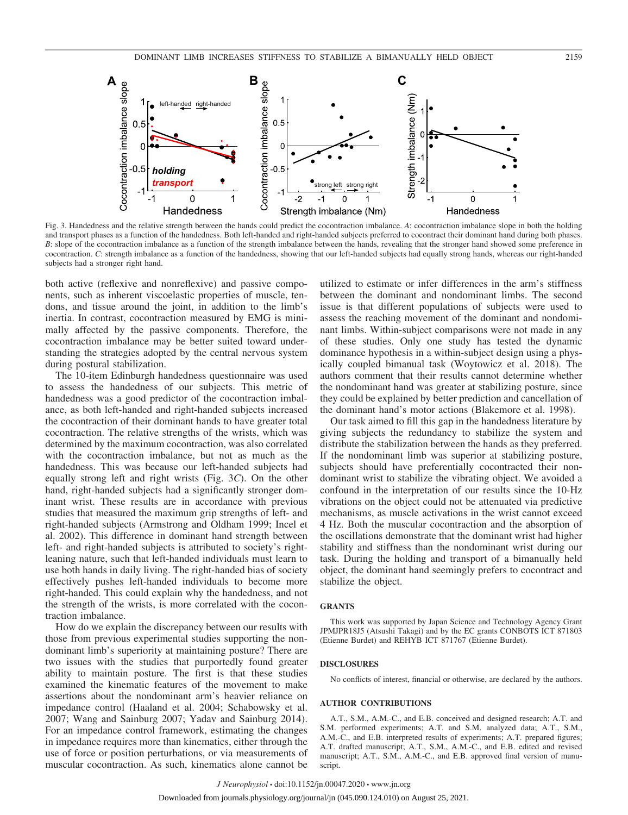

Fig. 3. Handedness and the relative strength between the hands could predict the cocontraction imbalance. *A*: cocontraction imbalance slope in both the holding and transport phases as a function of the handedness. Both left-handed and right-handed subjects preferred to cocontract their dominant hand during both phases. *B*: slope of the cocontraction imbalance as a function of the strength imbalance between the hands, revealing that the stronger hand showed some preference in cocontraction. *C*: strength imbalance as a function of the handedness, showing that our left-handed subjects had equally strong hands, whereas our right-handed subjects had a stronger right hand.

both active (reflexive and nonreflexive) and passive components, such as inherent viscoelastic properties of muscle, tendons, and tissue around the joint, in addition to the limb's inertia. In contrast, cocontraction measured by EMG is minimally affected by the passive components. Therefore, the cocontraction imbalance may be better suited toward understanding the strategies adopted by the central nervous system during postural stabilization.

The 10-item Edinburgh handedness questionnaire was used to assess the handedness of our subjects. This metric of handedness was a good predictor of the cocontraction imbalance, as both left-handed and right-handed subjects increased the cocontraction of their dominant hands to have greater total cocontraction. The relative strengths of the wrists, which was determined by the maximum cocontraction, was also correlated with the cocontraction imbalance, but not as much as the handedness. This was because our left-handed subjects had equally strong left and right wrists (Fig. 3*C*). On the other hand, right-handed subjects had a significantly stronger dominant wrist. These results are in accordance with previous studies that measured the maximum grip strengths of left- and right-handed subjects (Armstrong and Oldham 1999; Incel et al. 2002). This difference in dominant hand strength between left- and right-handed subjects is attributed to society's rightleaning nature, such that left-handed individuals must learn to use both hands in daily living. The right-handed bias of society effectively pushes left-handed individuals to become more right-handed. This could explain why the handedness, and not the strength of the wrists, is more correlated with the cocontraction imbalance.

How do we explain the discrepancy between our results with those from previous experimental studies supporting the nondominant limb's superiority at maintaining posture? There are two issues with the studies that purportedly found greater ability to maintain posture. The first is that these studies examined the kinematic features of the movement to make assertions about the nondominant arm's heavier reliance on impedance control (Haaland et al. 2004; Schabowsky et al. 2007; Wang and Sainburg 2007; Yadav and Sainburg 2014). For an impedance control framework, estimating the changes in impedance requires more than kinematics, either through the use of force or position perturbations, or via measurements of muscular cocontraction. As such, kinematics alone cannot be

utilized to estimate or infer differences in the arm's stiffness between the dominant and nondominant limbs. The second issue is that different populations of subjects were used to assess the reaching movement of the dominant and nondominant limbs. Within-subject comparisons were not made in any of these studies. Only one study has tested the dynamic dominance hypothesis in a within-subject design using a physically coupled bimanual task (Woytowicz et al. 2018). The authors comment that their results cannot determine whether the nondominant hand was greater at stabilizing posture, since they could be explained by better prediction and cancellation of the dominant hand's motor actions (Blakemore et al. 1998).

Our task aimed to fill this gap in the handedness literature by giving subjects the redundancy to stabilize the system and distribute the stabilization between the hands as they preferred. If the nondominant limb was superior at stabilizing posture, subjects should have preferentially cocontracted their nondominant wrist to stabilize the vibrating object. We avoided a confound in the interpretation of our results since the 10-Hz vibrations on the object could not be attenuated via predictive mechanisms, as muscle activations in the wrist cannot exceed 4 Hz. Both the muscular cocontraction and the absorption of the oscillations demonstrate that the dominant wrist had higher stability and stiffness than the nondominant wrist during our task. During the holding and transport of a bimanually held object, the dominant hand seemingly prefers to cocontract and stabilize the object.

#### **GRANTS**

This work was supported by Japan Science and Technology Agency Grant JPMJPR18J5 (Atsushi Takagi) and by the EC grants CONBOTS ICT 871803 (Etienne Burdet) and REHYB ICT 871767 (Etienne Burdet).

#### **DISCLOSURES**

No conflicts of interest, financial or otherwise, are declared by the authors.

#### **AUTHOR CONTRIBUTIONS**

A.T., S.M., A.M.-C., and E.B. conceived and designed research; A.T. and S.M. performed experiments; A.T. and S.M. analyzed data; A.T., S.M., A.M.-C., and E.B. interpreted results of experiments; A.T. prepared figures; A.T. drafted manuscript; A.T., S.M., A.M.-C., and E.B. edited and revised manuscript; A.T., S.M., A.M.-C., and E.B. approved final version of manuscript.